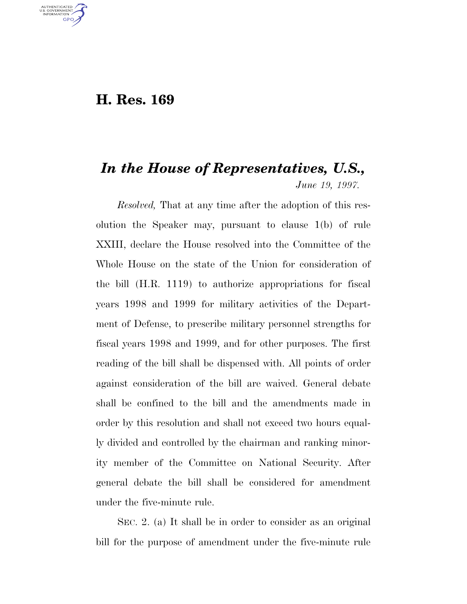#### **H. Res. 169**

U.S. GOVERNMENT **GPO** 

# *In the House of Representatives, U.S., June 19, 1997.*

*Resolved,* That at any time after the adoption of this resolution the Speaker may, pursuant to clause 1(b) of rule XXIII, declare the House resolved into the Committee of the Whole House on the state of the Union for consideration of the bill (H.R. 1119) to authorize appropriations for fiscal years 1998 and 1999 for military activities of the Department of Defense, to prescribe military personnel strengths for fiscal years 1998 and 1999, and for other purposes. The first reading of the bill shall be dispensed with. All points of order against consideration of the bill are waived. General debate shall be confined to the bill and the amendments made in order by this resolution and shall not exceed two hours equally divided and controlled by the chairman and ranking minority member of the Committee on National Security. After general debate the bill shall be considered for amendment under the five-minute rule.

SEC. 2. (a) It shall be in order to consider as an original bill for the purpose of amendment under the five-minute rule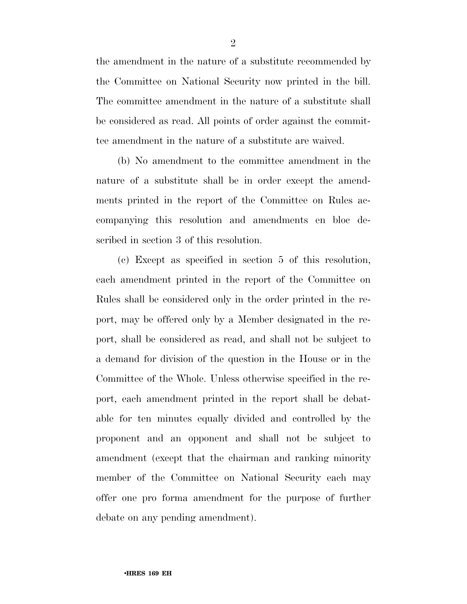the amendment in the nature of a substitute recommended by the Committee on National Security now printed in the bill. The committee amendment in the nature of a substitute shall be considered as read. All points of order against the committee amendment in the nature of a substitute are waived.

(b) No amendment to the committee amendment in the nature of a substitute shall be in order except the amendments printed in the report of the Committee on Rules accompanying this resolution and amendments en bloc described in section 3 of this resolution.

(c) Except as specified in section 5 of this resolution, each amendment printed in the report of the Committee on Rules shall be considered only in the order printed in the report, may be offered only by a Member designated in the report, shall be considered as read, and shall not be subject to a demand for division of the question in the House or in the Committee of the Whole. Unless otherwise specified in the report, each amendment printed in the report shall be debatable for ten minutes equally divided and controlled by the proponent and an opponent and shall not be subject to amendment (except that the chairman and ranking minority member of the Committee on National Security each may offer one pro forma amendment for the purpose of further debate on any pending amendment).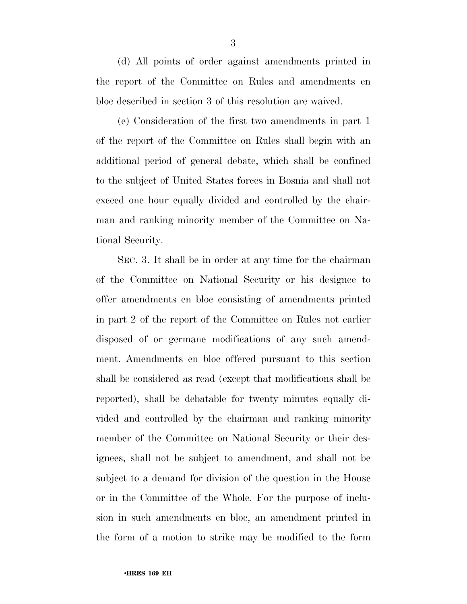(d) All points of order against amendments printed in the report of the Committee on Rules and amendments en bloc described in section 3 of this resolution are waived.

(e) Consideration of the first two amendments in part 1 of the report of the Committee on Rules shall begin with an additional period of general debate, which shall be confined to the subject of United States forces in Bosnia and shall not exceed one hour equally divided and controlled by the chairman and ranking minority member of the Committee on National Security.

SEC. 3. It shall be in order at any time for the chairman of the Committee on National Security or his designee to offer amendments en bloc consisting of amendments printed in part 2 of the report of the Committee on Rules not earlier disposed of or germane modifications of any such amendment. Amendments en bloc offered pursuant to this section shall be considered as read (except that modifications shall be reported), shall be debatable for twenty minutes equally divided and controlled by the chairman and ranking minority member of the Committee on National Security or their designees, shall not be subject to amendment, and shall not be subject to a demand for division of the question in the House or in the Committee of the Whole. For the purpose of inclusion in such amendments en bloc, an amendment printed in the form of a motion to strike may be modified to the form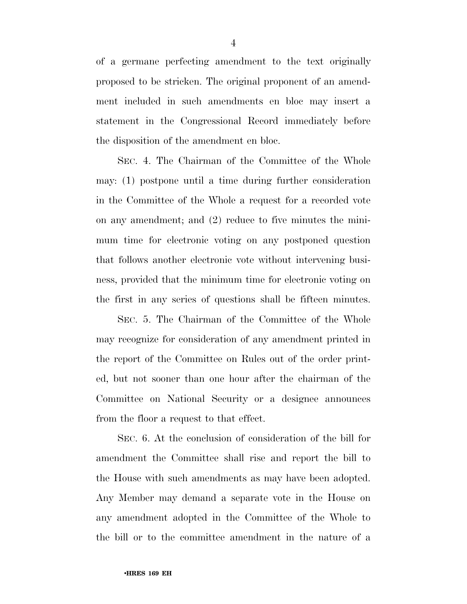of a germane perfecting amendment to the text originally proposed to be stricken. The original proponent of an amendment included in such amendments en bloc may insert a statement in the Congressional Record immediately before the disposition of the amendment en bloc.

SEC. 4. The Chairman of the Committee of the Whole may: (1) postpone until a time during further consideration in the Committee of the Whole a request for a recorded vote on any amendment; and (2) reduce to five minutes the minimum time for electronic voting on any postponed question that follows another electronic vote without intervening business, provided that the minimum time for electronic voting on the first in any series of questions shall be fifteen minutes.

SEC. 5. The Chairman of the Committee of the Whole may recognize for consideration of any amendment printed in the report of the Committee on Rules out of the order printed, but not sooner than one hour after the chairman of the Committee on National Security or a designee announces from the floor a request to that effect.

SEC. 6. At the conclusion of consideration of the bill for amendment the Committee shall rise and report the bill to the House with such amendments as may have been adopted. Any Member may demand a separate vote in the House on any amendment adopted in the Committee of the Whole to the bill or to the committee amendment in the nature of a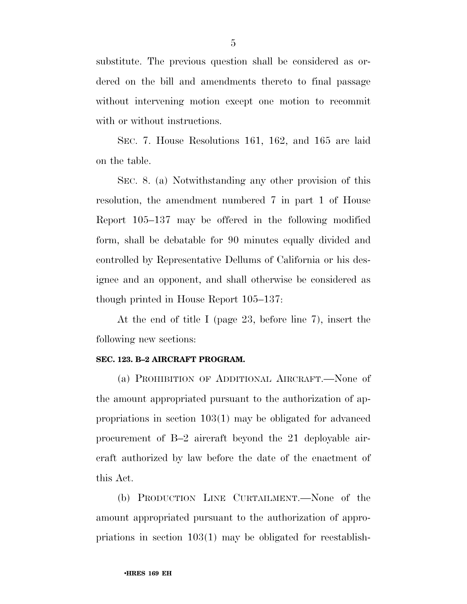substitute. The previous question shall be considered as ordered on the bill and amendments thereto to final passage without intervening motion except one motion to recommit with or without instructions.

SEC. 7. House Resolutions 161, 162, and 165 are laid on the table.

SEC. 8. (a) Notwithstanding any other provision of this resolution, the amendment numbered 7 in part 1 of House Report 105–137 may be offered in the following modified form, shall be debatable for 90 minutes equally divided and controlled by Representative Dellums of California or his designee and an opponent, and shall otherwise be considered as though printed in House Report 105–137:

At the end of title I (page 23, before line 7), insert the following new sections:

#### **SEC. 123. B–2 AIRCRAFT PROGRAM.**

(a) PROHIBITION OF ADDITIONAL AIRCRAFT.—None of the amount appropriated pursuant to the authorization of appropriations in section 103(1) may be obligated for advanced procurement of B–2 aircraft beyond the 21 deployable aircraft authorized by law before the date of the enactment of this Act.

(b) PRODUCTION LINE CURTAILMENT.—None of the amount appropriated pursuant to the authorization of appropriations in section 103(1) may be obligated for reestablish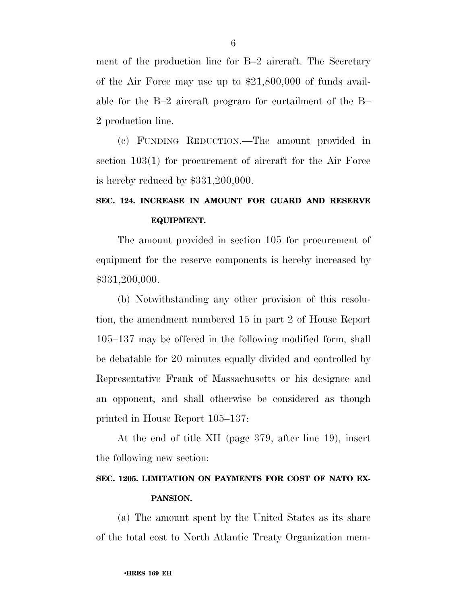ment of the production line for B–2 aircraft. The Secretary of the Air Force may use up to \$21,800,000 of funds available for the B–2 aircraft program for curtailment of the B– 2 production line.

(c) FUNDING REDUCTION.—The amount provided in section 103(1) for procurement of aircraft for the Air Force is hereby reduced by \$331,200,000.

## **SEC. 124. INCREASE IN AMOUNT FOR GUARD AND RESERVE EQUIPMENT.**

The amount provided in section 105 for procurement of equipment for the reserve components is hereby increased by \$331,200,000.

(b) Notwithstanding any other provision of this resolution, the amendment numbered 15 in part 2 of House Report 105–137 may be offered in the following modified form, shall be debatable for 20 minutes equally divided and controlled by Representative Frank of Massachusetts or his designee and an opponent, and shall otherwise be considered as though printed in House Report 105–137:

At the end of title XII (page 379, after line 19), insert the following new section:

### **SEC. 1205. LIMITATION ON PAYMENTS FOR COST OF NATO EX-PANSION.**

(a) The amount spent by the United States as its share of the total cost to North Atlantic Treaty Organization mem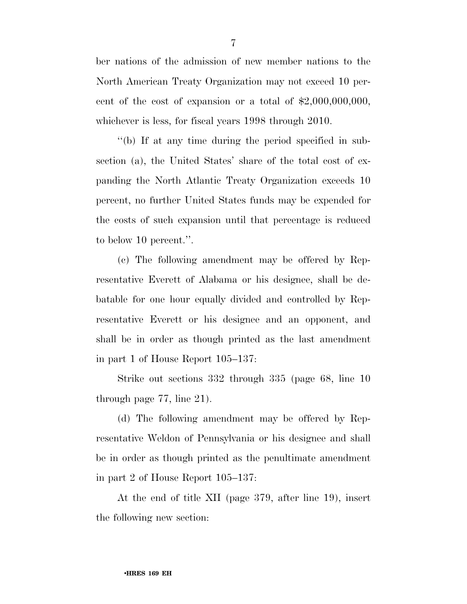ber nations of the admission of new member nations to the North American Treaty Organization may not exceed 10 percent of the cost of expansion or a total of  $$2,000,000,000$ , whichever is less, for fiscal years 1998 through 2010.

''(b) If at any time during the period specified in subsection (a), the United States' share of the total cost of expanding the North Atlantic Treaty Organization exceeds 10 percent, no further United States funds may be expended for the costs of such expansion until that percentage is reduced to below 10 percent.''.

(c) The following amendment may be offered by Representative Everett of Alabama or his designee, shall be debatable for one hour equally divided and controlled by Representative Everett or his designee and an opponent, and shall be in order as though printed as the last amendment in part 1 of House Report 105–137:

Strike out sections 332 through 335 (page 68, line 10 through page 77, line 21).

(d) The following amendment may be offered by Representative Weldon of Pennsylvania or his designee and shall be in order as though printed as the penultimate amendment in part 2 of House Report 105–137:

At the end of title XII (page 379, after line 19), insert the following new section: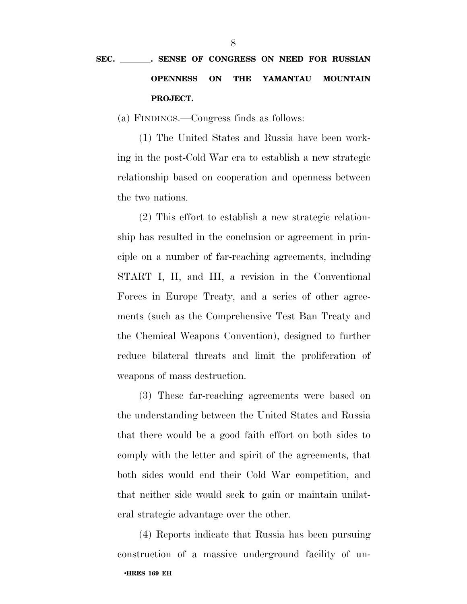# SEC. \_\_\_\_\_\_. SENSE OF CONGRESS ON NEED FOR RUSSIAN **OPENNESS ON THE YAMANTAU MOUNTAIN PROJECT.**

(a) FINDINGS.—Congress finds as follows:

(1) The United States and Russia have been working in the post-Cold War era to establish a new strategic relationship based on cooperation and openness between the two nations.

(2) This effort to establish a new strategic relationship has resulted in the conclusion or agreement in principle on a number of far-reaching agreements, including START I, II, and III, a revision in the Conventional Forces in Europe Treaty, and a series of other agreements (such as the Comprehensive Test Ban Treaty and the Chemical Weapons Convention), designed to further reduce bilateral threats and limit the proliferation of weapons of mass destruction.

(3) These far-reaching agreements were based on the understanding between the United States and Russia that there would be a good faith effort on both sides to comply with the letter and spirit of the agreements, that both sides would end their Cold War competition, and that neither side would seek to gain or maintain unilateral strategic advantage over the other.

•**HRES 169 EH** (4) Reports indicate that Russia has been pursuing construction of a massive underground facility of un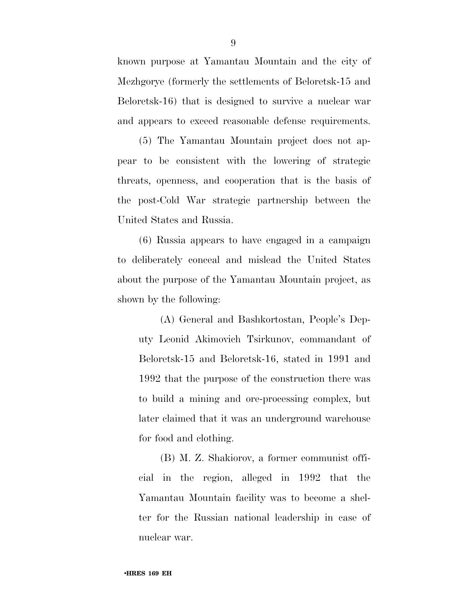known purpose at Yamantau Mountain and the city of Mezhgorye (formerly the settlements of Beloretsk-15 and Beloretsk-16) that is designed to survive a nuclear war and appears to exceed reasonable defense requirements.

(5) The Yamantau Mountain project does not appear to be consistent with the lowering of strategic threats, openness, and cooperation that is the basis of the post-Cold War strategic partnership between the United States and Russia.

(6) Russia appears to have engaged in a campaign to deliberately conceal and mislead the United States about the purpose of the Yamantau Mountain project, as shown by the following:

(A) General and Bashkortostan, People's Deputy Leonid Akimovich Tsirkunov, commandant of Beloretsk-15 and Beloretsk-16, stated in 1991 and 1992 that the purpose of the construction there was to build a mining and ore-processing complex, but later claimed that it was an underground warehouse for food and clothing.

(B) M. Z. Shakiorov, a former communist official in the region, alleged in 1992 that the Yamantau Mountain facility was to become a shelter for the Russian national leadership in case of nuclear war.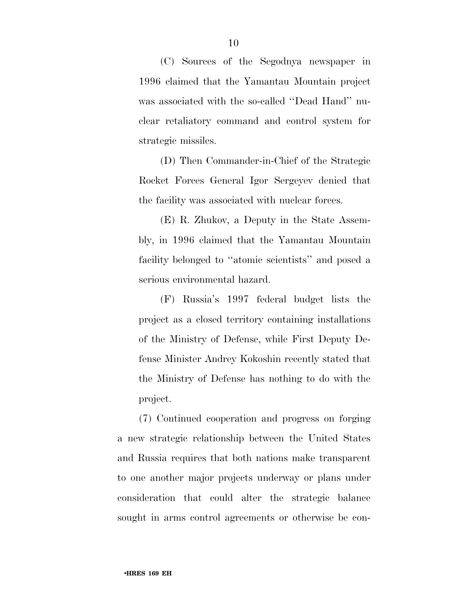(C) Sources of the Segodnya newspaper in 1996 claimed that the Yamantau Mountain project was associated with the so-called ''Dead Hand'' nuclear retaliatory command and control system for strategic missiles.

(D) Then Commander-in-Chief of the Strategic Rocket Forces General Igor Sergeyev denied that the facility was associated with nuclear forces.

(E) R. Zhukov, a Deputy in the State Assembly, in 1996 claimed that the Yamantau Mountain facility belonged to ''atomic scientists'' and posed a serious environmental hazard.

(F) Russia's 1997 federal budget lists the project as a closed territory containing installations of the Ministry of Defense, while First Deputy Defense Minister Andrey Kokoshin recently stated that the Ministry of Defense has nothing to do with the project.

(7) Continued cooperation and progress on forging a new strategic relationship between the United States and Russia requires that both nations make transparent to one another major projects underway or plans under consideration that could alter the strategic balance sought in arms control agreements or otherwise be con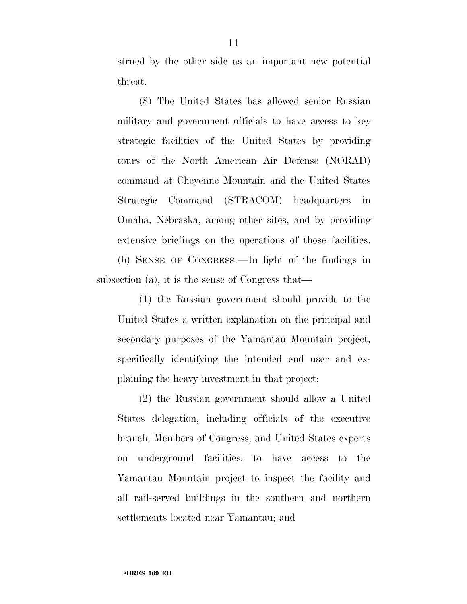strued by the other side as an important new potential threat.

(8) The United States has allowed senior Russian military and government officials to have access to key strategic facilities of the United States by providing tours of the North American Air Defense (NORAD) command at Cheyenne Mountain and the United States Strategic Command (STRACOM) headquarters in Omaha, Nebraska, among other sites, and by providing extensive briefings on the operations of those facilities. (b) SENSE OF CONGRESS.—In light of the findings in

subsection (a), it is the sense of Congress that—

(1) the Russian government should provide to the United States a written explanation on the principal and secondary purposes of the Yamantau Mountain project, specifically identifying the intended end user and explaining the heavy investment in that project;

(2) the Russian government should allow a United States delegation, including officials of the executive branch, Members of Congress, and United States experts on underground facilities, to have access to the Yamantau Mountain project to inspect the facility and all rail-served buildings in the southern and northern settlements located near Yamantau; and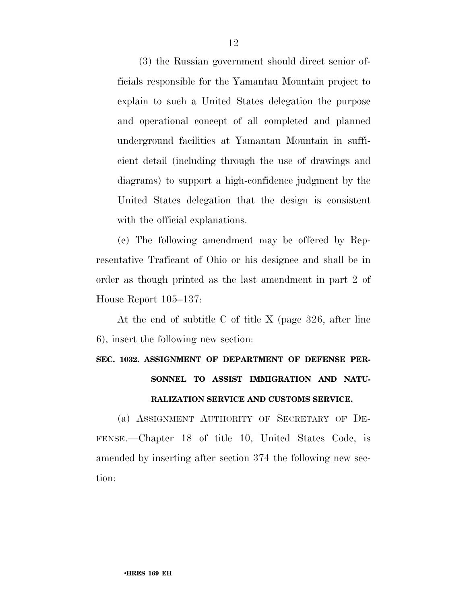(3) the Russian government should direct senior officials responsible for the Yamantau Mountain project to explain to such a United States delegation the purpose and operational concept of all completed and planned underground facilities at Yamantau Mountain in sufficient detail (including through the use of drawings and diagrams) to support a high-confidence judgment by the United States delegation that the design is consistent with the official explanations.

(e) The following amendment may be offered by Representative Traficant of Ohio or his designee and shall be in order as though printed as the last amendment in part 2 of House Report 105–137:

At the end of subtitle C of title X (page 326, after line 6), insert the following new section:

# **SEC. 1032. ASSIGNMENT OF DEPARTMENT OF DEFENSE PER-SONNEL TO ASSIST IMMIGRATION AND NATU-RALIZATION SERVICE AND CUSTOMS SERVICE.**

(a) ASSIGNMENT AUTHORITY OF SECRETARY OF DE-FENSE.—Chapter 18 of title 10, United States Code, is amended by inserting after section 374 the following new section: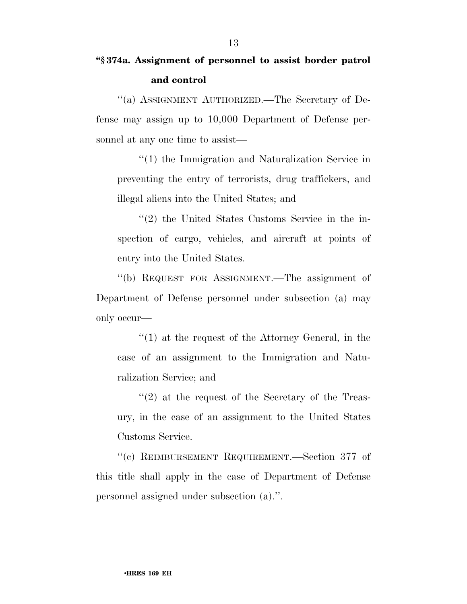## **''§ 374a. Assignment of personnel to assist border patrol and control**

''(a) ASSIGNMENT AUTHORIZED.—The Secretary of Defense may assign up to 10,000 Department of Defense personnel at any one time to assist—

''(1) the Immigration and Naturalization Service in preventing the entry of terrorists, drug traffickers, and illegal aliens into the United States; and

''(2) the United States Customs Service in the inspection of cargo, vehicles, and aircraft at points of entry into the United States.

''(b) REQUEST FOR ASSIGNMENT.—The assignment of Department of Defense personnel under subsection (a) may only occur—

''(1) at the request of the Attorney General, in the case of an assignment to the Immigration and Naturalization Service; and

 $\cdot$ (2) at the request of the Secretary of the Treasury, in the case of an assignment to the United States Customs Service.

''(c) REIMBURSEMENT REQUIREMENT.—Section 377 of this title shall apply in the case of Department of Defense personnel assigned under subsection (a).''.